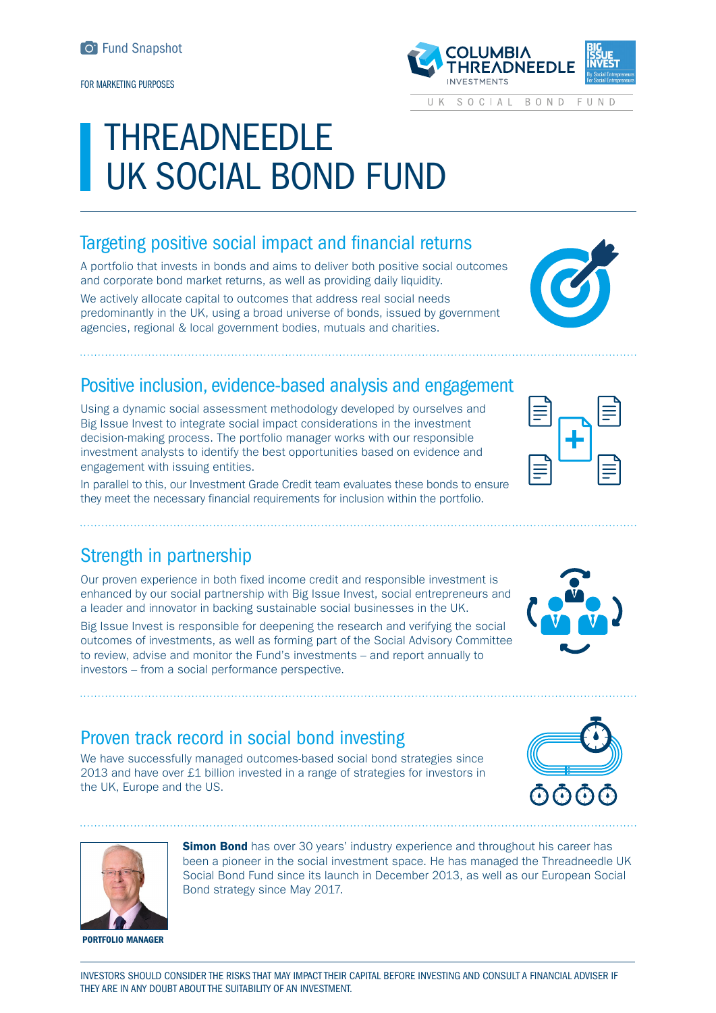FOR MARKETING PURPOSES

# THREADNEEDLE UK SOCIAL BOND FUND

## Targeting positive social impact and financial returns

A portfolio that invests in bonds and aims to deliver both positive social outcomes and corporate bond market returns, as well as providing daily liquidity.

We actively allocate capital to outcomes that address real social needs predominantly in the UK, using a broad universe of bonds, issued by government agencies, regional & local government bodies, mutuals and charities.

# Positive inclusion, evidence-based analysis and engagement

Using a dynamic social assessment methodology developed by ourselves and Big Issue Invest to integrate social impact considerations in the investment decision-making process. The portfolio manager works with our responsible investment analysts to identify the best opportunities based on evidence and engagement with issuing entities.

In parallel to this, our Investment Grade Credit team evaluates these bonds to ensure they meet the necessary financial requirements for inclusion within the portfolio.

# Strength in partnership

Our proven experience in both fixed income credit and responsible investment is enhanced by our social partnership with Big Issue Invest, social entrepreneurs and a leader and innovator in backing sustainable social businesses in the UK.

Big Issue Invest is responsible for deepening the research and verifying the social outcomes of investments, as well as forming part of the Social Advisory Committee to review, advise and monitor the Fund's investments – and report annually to investors – from a social performance perspective.

# Proven track record in social bond investing

We have successfully managed outcomes-based social bond strategies since 2013 and have over £1 billion invested in a range of strategies for investors in the UK, Europe and the US.

**Simon Bond** has over 30 years' industry experience and throughout his career has

#### PORTFOLIO MANAGER

been a pioneer in the social investment space. He has managed the Threadneedle UK Social Bond Fund since its launch in December 2013, as well as our European Social Bond strategy since May 2017.







FUND

UMRI

BOND

SOCIAL

 $II$  K